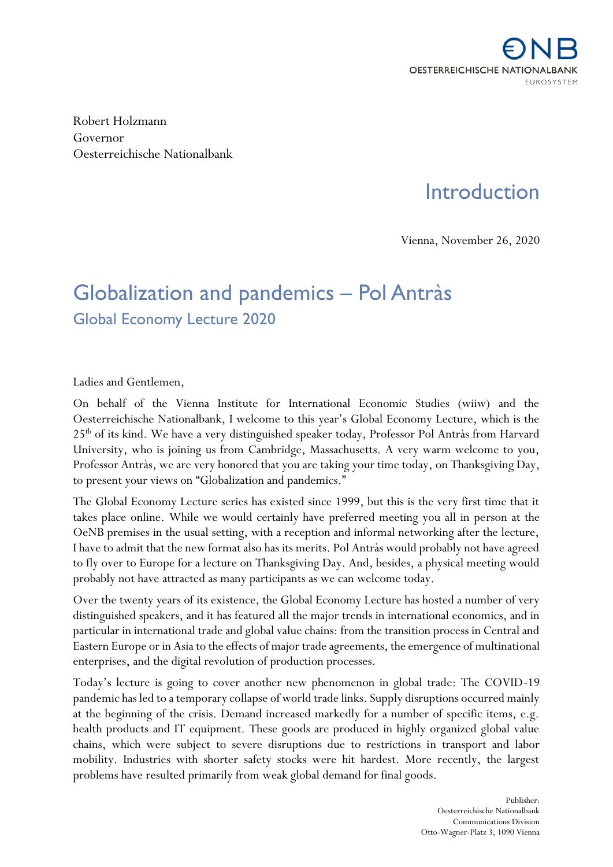

Robert Holzmann Governor Oesterreichische Nationalbank

## **Introduction**

Vienna, November 26, 2020

## Globalization and pandemics – Pol Antràs Global Economy Lecture 2020

Ladies and Gentlemen,

On behalf of the Vienna Institute for International Economic Studies (wiiw) and the Oesterreichische Nationalbank, I welcome to this year's Global Economy Lecture, which is the 25th of its kind. We have a very distinguished speaker today, Professor Pol Antràs from Harvard University, who is joining us from Cambridge, Massachusetts. A very warm welcome to you, Professor Antràs, we are very honored that you are taking your time today, on Thanksgiving Day, to present your views on "Globalization and pandemics."

The Global Economy Lecture series has existed since 1999, but this is the very first time that it takes place online. While we would certainly have preferred meeting you all in person at the OeNB premises in the usual setting, with a reception and informal networking after the lecture, I have to admit that the new format also has its merits. Pol Antràs would probably not have agreed to fly over to Europe for a lecture on Thanksgiving Day. And, besides, a physical meeting would probably not have attracted as many participants as we can welcome today.

Over the twenty years of its existence, the Global Economy Lecture has hosted a number of very distinguished speakers, and it has featured all the major trends in international economics, and in particular in international trade and global value chains: from the transition process in Central and Eastern Europe or in Asia to the effects of major trade agreements, the emergence of multinational enterprises, and the digital revolution of production processes.

Today's lecture is going to cover another new phenomenon in global trade: The COVID-19 pandemic has led to a temporary collapse of world trade links. Supply disruptions occurred mainly at the beginning of the crisis. Demand increased markedly for a number of specific items, e.g. health products and IT equipment. These goods are produced in highly organized global value chains, which were subject to severe disruptions due to restrictions in transport and labor mobility. Industries with shorter safety stocks were hit hardest. More recently, the largest problems have resulted primarily from weak global demand for final goods.